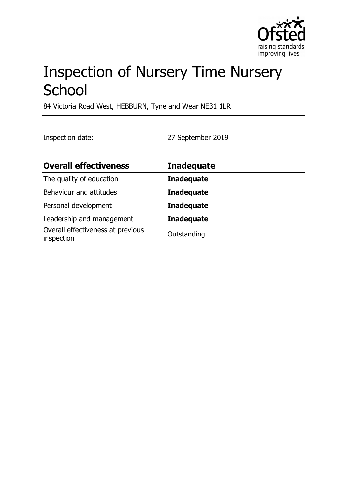

# Inspection of Nursery Time Nursery **School**

84 Victoria Road West, HEBBURN, Tyne and Wear NE31 1LR

Inspection date: 27 September 2019

| <b>Overall effectiveness</b>                    | <b>Inadequate</b> |
|-------------------------------------------------|-------------------|
| The quality of education                        | <b>Inadequate</b> |
| Behaviour and attitudes                         | <b>Inadequate</b> |
| Personal development                            | <b>Inadequate</b> |
| Leadership and management                       | <b>Inadequate</b> |
| Overall effectiveness at previous<br>inspection | Outstanding       |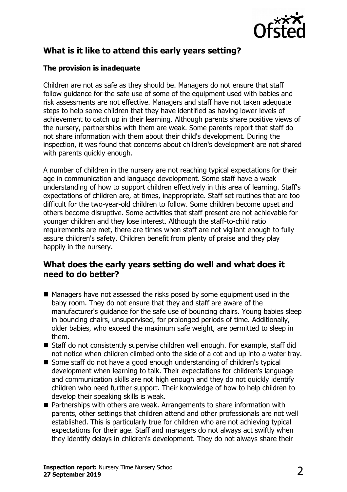

## **What is it like to attend this early years setting?**

#### **The provision is inadequate**

Children are not as safe as they should be. Managers do not ensure that staff follow guidance for the safe use of some of the equipment used with babies and risk assessments are not effective. Managers and staff have not taken adequate steps to help some children that they have identified as having lower levels of achievement to catch up in their learning. Although parents share positive views of the nursery, partnerships with them are weak. Some parents report that staff do not share information with them about their child's development. During the inspection, it was found that concerns about children's development are not shared with parents quickly enough.

A number of children in the nursery are not reaching typical expectations for their age in communication and language development. Some staff have a weak understanding of how to support children effectively in this area of learning. Staff's expectations of children are, at times, inappropriate. Staff set routines that are too difficult for the two-year-old children to follow. Some children become upset and others become disruptive. Some activities that staff present are not achievable for younger children and they lose interest. Although the staff-to-child ratio requirements are met, there are times when staff are not vigilant enough to fully assure children's safety. Children benefit from plenty of praise and they play happily in the nursery.

### **What does the early years setting do well and what does it need to do better?**

- $\blacksquare$  Managers have not assessed the risks posed by some equipment used in the baby room. They do not ensure that they and staff are aware of the manufacturer's guidance for the safe use of bouncing chairs. Young babies sleep in bouncing chairs, unsupervised, for prolonged periods of time. Additionally, older babies, who exceed the maximum safe weight, are permitted to sleep in them.
- $\blacksquare$  Staff do not consistently supervise children well enough. For example, staff did not notice when children climbed onto the side of a cot and up into a water tray.
- Some staff do not have a good enough understanding of children's typical development when learning to talk. Their expectations for children's language and communication skills are not high enough and they do not quickly identify children who need further support. Their knowledge of how to help children to develop their speaking skills is weak.
- Partnerships with others are weak. Arrangements to share information with parents, other settings that children attend and other professionals are not well established. This is particularly true for children who are not achieving typical expectations for their age. Staff and managers do not always act swiftly when they identify delays in children's development. They do not always share their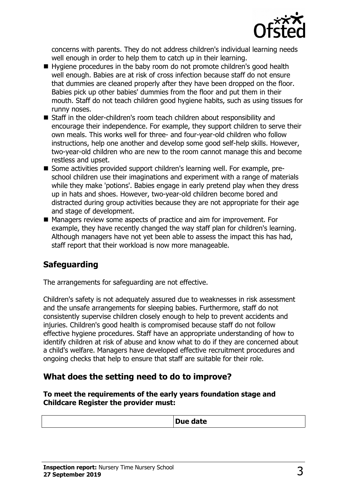

concerns with parents. They do not address children's individual learning needs well enough in order to help them to catch up in their learning.

- Hygiene procedures in the baby room do not promote children's good health well enough. Babies are at risk of cross infection because staff do not ensure that dummies are cleaned properly after they have been dropped on the floor. Babies pick up other babies' dummies from the floor and put them in their mouth. Staff do not teach children good hygiene habits, such as using tissues for runny noses.
- $\blacksquare$  Staff in the older-children's room teach children about responsibility and encourage their independence. For example, they support children to serve their own meals. This works well for three- and four-year-old children who follow instructions, help one another and develop some good self-help skills. However, two-year-old children who are new to the room cannot manage this and become restless and upset.
- Some activities provided support children's learning well. For example, preschool children use their imaginations and experiment with a range of materials while they make 'potions'. Babies engage in early pretend play when they dress up in hats and shoes. However, two-year-old children become bored and distracted during group activities because they are not appropriate for their age and stage of development.
- Managers review some aspects of practice and aim for improvement. For example, they have recently changed the way staff plan for children's learning. Although managers have not yet been able to assess the impact this has had, staff report that their workload is now more manageable.

## **Safeguarding**

The arrangements for safeguarding are not effective.

Children's safety is not adequately assured due to weaknesses in risk assessment and the unsafe arrangements for sleeping babies. Furthermore, staff do not consistently supervise children closely enough to help to prevent accidents and injuries. Children's good health is compromised because staff do not follow effective hygiene procedures. Staff have an appropriate understanding of how to identify children at risk of abuse and know what to do if they are concerned about a child's welfare. Managers have developed effective recruitment procedures and ongoing checks that help to ensure that staff are suitable for their role.

#### **What does the setting need to do to improve?**

**To meet the requirements of the early years foundation stage and Childcare Register the provider must:**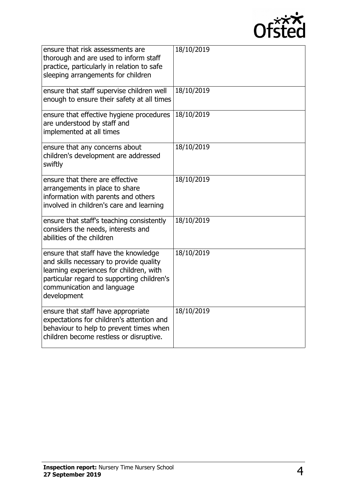

| ensure that risk assessments are<br>thorough and are used to inform staff<br>practice, particularly in relation to safe<br>sleeping arrangements for children                                                         | 18/10/2019 |
|-----------------------------------------------------------------------------------------------------------------------------------------------------------------------------------------------------------------------|------------|
| ensure that staff supervise children well<br>enough to ensure their safety at all times                                                                                                                               | 18/10/2019 |
| ensure that effective hygiene procedures<br>are understood by staff and<br>implemented at all times                                                                                                                   | 18/10/2019 |
| ensure that any concerns about<br>children's development are addressed<br>swiftly                                                                                                                                     | 18/10/2019 |
| ensure that there are effective<br>arrangements in place to share<br>information with parents and others<br>involved in children's care and learning                                                                  | 18/10/2019 |
| ensure that staff's teaching consistently<br>considers the needs, interests and<br>abilities of the children                                                                                                          | 18/10/2019 |
| ensure that staff have the knowledge<br>and skills necessary to provide quality<br>learning experiences for children, with<br>particular regard to supporting children's<br>communication and language<br>development | 18/10/2019 |
| ensure that staff have appropriate<br>expectations for children's attention and<br>behaviour to help to prevent times when<br>children become restless or disruptive.                                                 | 18/10/2019 |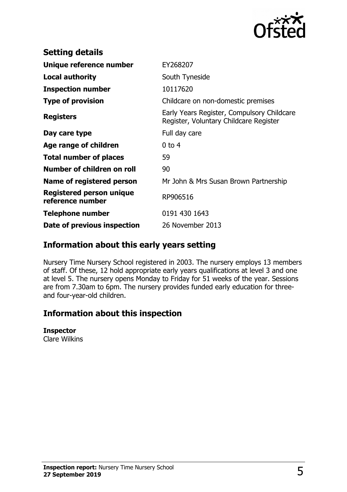

| <b>Setting details</b>                       |                                                                                      |
|----------------------------------------------|--------------------------------------------------------------------------------------|
| Unique reference number                      | EY268207                                                                             |
| <b>Local authority</b>                       | South Tyneside                                                                       |
| <b>Inspection number</b>                     | 10117620                                                                             |
| <b>Type of provision</b>                     | Childcare on non-domestic premises                                                   |
| <b>Registers</b>                             | Early Years Register, Compulsory Childcare<br>Register, Voluntary Childcare Register |
| Day care type                                | Full day care                                                                        |
| Age range of children                        | $0$ to 4                                                                             |
| <b>Total number of places</b>                | 59                                                                                   |
| Number of children on roll                   | 90                                                                                   |
| Name of registered person                    | Mr John & Mrs Susan Brown Partnership                                                |
| Registered person unique<br>reference number | RP906516                                                                             |
| Telephone number                             | 0191 430 1643                                                                        |
| Date of previous inspection                  | 26 November 2013                                                                     |
|                                              |                                                                                      |

### **Information about this early years setting**

Nursery Time Nursery School registered in 2003. The nursery employs 13 members of staff. Of these, 12 hold appropriate early years qualifications at level 3 and one at level 5. The nursery opens Monday to Friday for 51 weeks of the year. Sessions are from 7.30am to 6pm. The nursery provides funded early education for threeand four-year-old children.

### **Information about this inspection**

#### **Inspector**

Clare Wilkins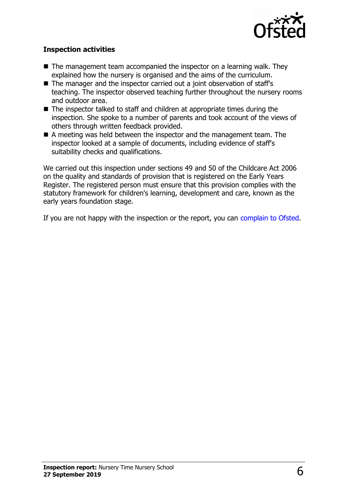

#### **Inspection activities**

- $\blacksquare$  The management team accompanied the inspector on a learning walk. They explained how the nursery is organised and the aims of the curriculum.
- $\blacksquare$  The manager and the inspector carried out a joint observation of staff's teaching. The inspector observed teaching further throughout the nursery rooms and outdoor area.
- $\blacksquare$  The inspector talked to staff and children at appropriate times during the inspection. She spoke to a number of parents and took account of the views of others through written feedback provided.
- A meeting was held between the inspector and the management team. The inspector looked at a sample of documents, including evidence of staff's suitability checks and qualifications.

We carried out this inspection under sections 49 and 50 of the Childcare Act 2006 on the quality and standards of provision that is registered on the Early Years Register. The registered person must ensure that this provision complies with the statutory framework for children's learning, development and care, known as the early years foundation stage.

If you are not happy with the inspection or the report, you can [complain to Ofsted.](http://www.gov.uk/complain-ofsted-report)